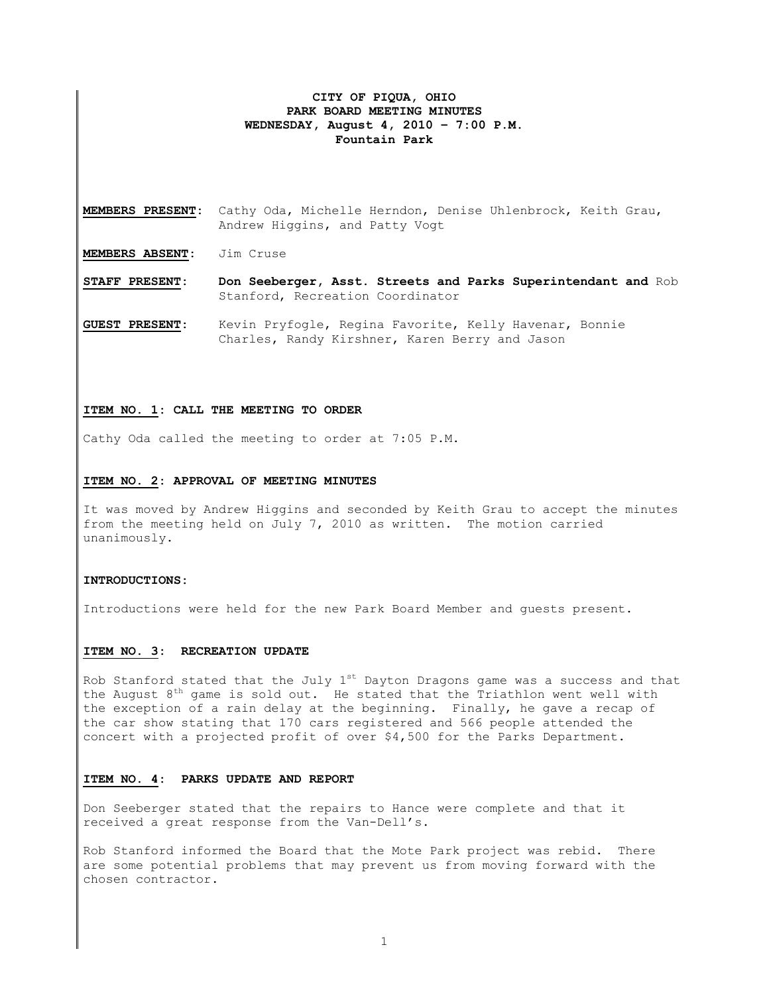## **CITY OF PIQUA, OHIO PARK BOARD MEETING MINUTES WEDNESDAY, August 4, 2010 – 7:00 P.M. Fountain Park**

**MEMBERS PRESENT:** Cathy Oda, Michelle Herndon, Denise Uhlenbrock, Keith Grau, Andrew Higgins, and Patty Vogt

**MEMBERS ABSENT:** Jim Cruse

**STAFF PRESENT: Don Seeberger, Asst. Streets and Parks Superintendant and** Rob Stanford, Recreation Coordinator

**GUEST PRESENT:** Kevin Pryfogle, Regina Favorite, Kelly Havenar, Bonnie Charles, Randy Kirshner, Karen Berry and Jason

#### **ITEM NO. 1: CALL THE MEETING TO ORDER**

Cathy Oda called the meeting to order at 7:05 P.M.

#### **ITEM NO. 2: APPROVAL OF MEETING MINUTES**

It was moved by Andrew Higgins and seconded by Keith Grau to accept the minutes from the meeting held on July 7, 2010 as written. The motion carried unanimously.

#### **INTRODUCTIONS:**

Introductions were held for the new Park Board Member and guests present.

#### **ITEM NO. 3: RECREATION UPDATE**

Rob Stanford stated that the July  $1^{st}$  Dayton Dragons game was a success and that the August  $8^{th}$  game is sold out. He stated that the Triathlon went well with the exception of a rain delay at the beginning. Finally, he gave a recap of the car show stating that 170 cars registered and 566 people attended the concert with a projected profit of over \$4,500 for the Parks Department.

### **ITEM NO. 4: PARKS UPDATE AND REPORT**

Don Seeberger stated that the repairs to Hance were complete and that it received a great response from the Van-Dell's.

Rob Stanford informed the Board that the Mote Park project was rebid. There are some potential problems that may prevent us from moving forward with the chosen contractor.